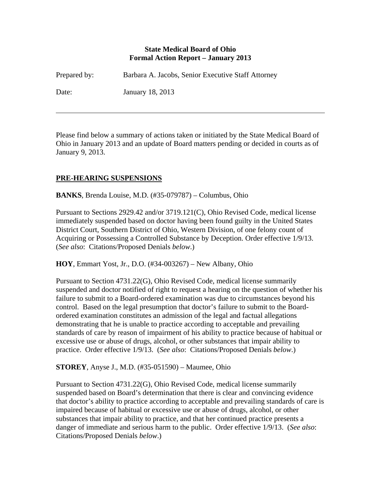#### **State Medical Board of Ohio Formal Action Report – January 2013**

| Prepared by: | Barbara A. Jacobs, Senior Executive Staff Attorney |
|--------------|----------------------------------------------------|
| Date:        | January 18, 2013                                   |

Please find below a summary of actions taken or initiated by the State Medical Board of Ohio in January 2013 and an update of Board matters pending or decided in courts as of January 9, 2013.

# **PRE-HEARING SUSPENSIONS**

 $\overline{a}$ 

**BANKS**, Brenda Louise, M.D. (#35-079787) – Columbus, Ohio

Pursuant to Sections 2929.42 and/or 3719.121(C), Ohio Revised Code, medical license immediately suspended based on doctor having been found guilty in the United States District Court, Southern District of Ohio, Western Division, of one felony count of Acquiring or Possessing a Controlled Substance by Deception. Order effective 1/9/13. (*See also*: Citations/Proposed Denials *below*.)

**HOY**, Emmart Yost, Jr., D.O. (#34-003267) – New Albany, Ohio

Pursuant to Section 4731.22(G), Ohio Revised Code, medical license summarily suspended and doctor notified of right to request a hearing on the question of whether his failure to submit to a Board-ordered examination was due to circumstances beyond his control. Based on the legal presumption that doctor's failure to submit to the Boardordered examination constitutes an admission of the legal and factual allegations demonstrating that he is unable to practice according to acceptable and prevailing standards of care by reason of impairment of his ability to practice because of habitual or excessive use or abuse of drugs, alcohol, or other substances that impair ability to practice. Order effective 1/9/13. (*See also*: Citations/Proposed Denials *below*.)

**STOREY**, Anyse J., M.D. (#35-051590) – Maumee, Ohio

Pursuant to Section 4731.22(G), Ohio Revised Code, medical license summarily suspended based on Board's determination that there is clear and convincing evidence that doctor's ability to practice according to acceptable and prevailing standards of care is impaired because of habitual or excessive use or abuse of drugs, alcohol, or other substances that impair ability to practice, and that her continued practice presents a danger of immediate and serious harm to the public. Order effective 1/9/13. (*See also*: Citations/Proposed Denials *below*.)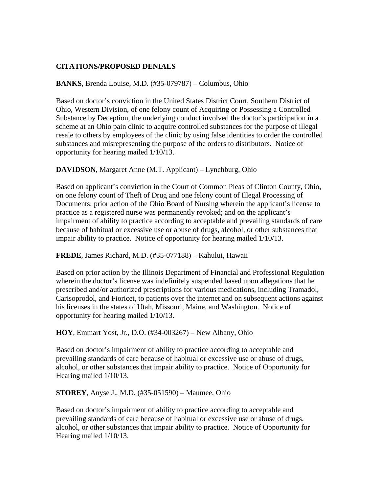# **CITATIONS/PROPOSED DENIALS**

# **BANKS**, Brenda Louise, M.D. (#35-079787) – Columbus, Ohio

Based on doctor's conviction in the United States District Court, Southern District of Ohio, Western Division, of one felony count of Acquiring or Possessing a Controlled Substance by Deception, the underlying conduct involved the doctor's participation in a scheme at an Ohio pain clinic to acquire controlled substances for the purpose of illegal resale to others by employees of the clinic by using false identities to order the controlled substances and misrepresenting the purpose of the orders to distributors. Notice of opportunity for hearing mailed 1/10/13.

### **DAVIDSON**, Margaret Anne (M.T. Applicant) – Lynchburg, Ohio

Based on applicant's conviction in the Court of Common Pleas of Clinton County, Ohio, on one felony count of Theft of Drug and one felony count of Illegal Processing of Documents; prior action of the Ohio Board of Nursing wherein the applicant's license to practice as a registered nurse was permanently revoked; and on the applicant's impairment of ability to practice according to acceptable and prevailing standards of care because of habitual or excessive use or abuse of drugs, alcohol, or other substances that impair ability to practice. Notice of opportunity for hearing mailed 1/10/13.

**FREDE**, James Richard, M.D. (#35-077188) – Kahului, Hawaii

Based on prior action by the Illinois Department of Financial and Professional Regulation wherein the doctor's license was indefinitely suspended based upon allegations that he prescribed and/or authorized prescriptions for various medications, including Tramadol, Carisoprodol, and Fioricet, to patients over the internet and on subsequent actions against his licenses in the states of Utah, Missouri, Maine, and Washington. Notice of opportunity for hearing mailed 1/10/13.

### **HOY**, Emmart Yost, Jr., D.O. (#34-003267) – New Albany, Ohio

Based on doctor's impairment of ability to practice according to acceptable and prevailing standards of care because of habitual or excessive use or abuse of drugs, alcohol, or other substances that impair ability to practice. Notice of Opportunity for Hearing mailed 1/10/13.

#### **STOREY**, Anyse J., M.D. (#35-051590) – Maumee, Ohio

Based on doctor's impairment of ability to practice according to acceptable and prevailing standards of care because of habitual or excessive use or abuse of drugs, alcohol, or other substances that impair ability to practice. Notice of Opportunity for Hearing mailed 1/10/13.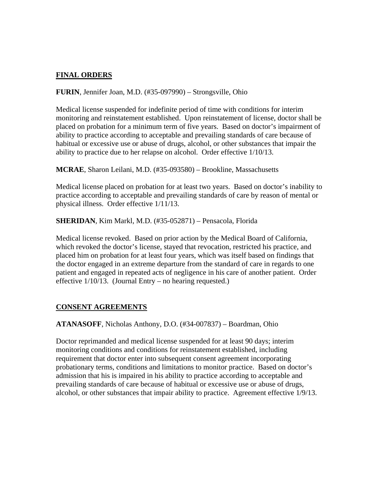### **FINAL ORDERS**

### **FURIN**, Jennifer Joan, M.D. (#35-097990) – Strongsville, Ohio

Medical license suspended for indefinite period of time with conditions for interim monitoring and reinstatement established. Upon reinstatement of license, doctor shall be placed on probation for a minimum term of five years. Based on doctor's impairment of ability to practice according to acceptable and prevailing standards of care because of habitual or excessive use or abuse of drugs, alcohol, or other substances that impair the ability to practice due to her relapse on alcohol. Order effective 1/10/13.

**MCRAE**, Sharon Leilani, M.D. (#35-093580) – Brookline, Massachusetts

Medical license placed on probation for at least two years. Based on doctor's inability to practice according to acceptable and prevailing standards of care by reason of mental or physical illness. Order effective 1/11/13.

**SHERIDAN**, Kim Markl, M.D. (#35-052871) – Pensacola, Florida

Medical license revoked. Based on prior action by the Medical Board of California, which revoked the doctor's license, stayed that revocation, restricted his practice, and placed him on probation for at least four years, which was itself based on findings that the doctor engaged in an extreme departure from the standard of care in regards to one patient and engaged in repeated acts of negligence in his care of another patient. Order effective  $1/10/13$ . (Journal Entry – no hearing requested.)

### **CONSENT AGREEMENTS**

**ATANASOFF**, Nicholas Anthony, D.O. (#34-007837) – Boardman, Ohio

Doctor reprimanded and medical license suspended for at least 90 days; interim monitoring conditions and conditions for reinstatement established, including requirement that doctor enter into subsequent consent agreement incorporating probationary terms, conditions and limitations to monitor practice. Based on doctor's admission that his is impaired in his ability to practice according to acceptable and prevailing standards of care because of habitual or excessive use or abuse of drugs, alcohol, or other substances that impair ability to practice. Agreement effective 1/9/13.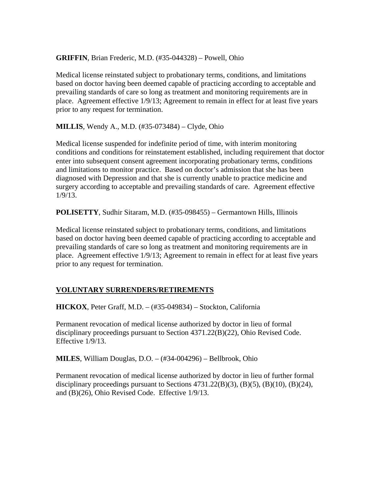**GRIFFIN**, Brian Frederic, M.D. (#35-044328) – Powell, Ohio

Medical license reinstated subject to probationary terms, conditions, and limitations based on doctor having been deemed capable of practicing according to acceptable and prevailing standards of care so long as treatment and monitoring requirements are in place. Agreement effective 1/9/13; Agreement to remain in effect for at least five years prior to any request for termination.

**MILLIS**, Wendy A., M.D. (#35-073484) – Clyde, Ohio

Medical license suspended for indefinite period of time, with interim monitoring conditions and conditions for reinstatement established, including requirement that doctor enter into subsequent consent agreement incorporating probationary terms, conditions and limitations to monitor practice. Based on doctor's admission that she has been diagnosed with Depression and that she is currently unable to practice medicine and surgery according to acceptable and prevailing standards of care. Agreement effective 1/9/13.

**POLISETTY**, Sudhir Sitaram, M.D. (#35-098455) – Germantown Hills, Illinois

Medical license reinstated subject to probationary terms, conditions, and limitations based on doctor having been deemed capable of practicing according to acceptable and prevailing standards of care so long as treatment and monitoring requirements are in place. Agreement effective 1/9/13; Agreement to remain in effect for at least five years prior to any request for termination.

### **VOLUNTARY SURRENDERS/RETIREMENTS**

**HICKOX**, Peter Graff, M.D. – (#35-049834) – Stockton, California

Permanent revocation of medical license authorized by doctor in lieu of formal disciplinary proceedings pursuant to Section 4371.22(B)(22), Ohio Revised Code. Effective 1/9/13.

**MILES**, William Douglas, D.O. – (#34-004296) – Bellbrook, Ohio

Permanent revocation of medical license authorized by doctor in lieu of further formal disciplinary proceedings pursuant to Sections  $4731.22(B)(3)$ ,  $(B)(5)$ ,  $(B)(10)$ ,  $(B)(24)$ , and (B)(26), Ohio Revised Code. Effective 1/9/13.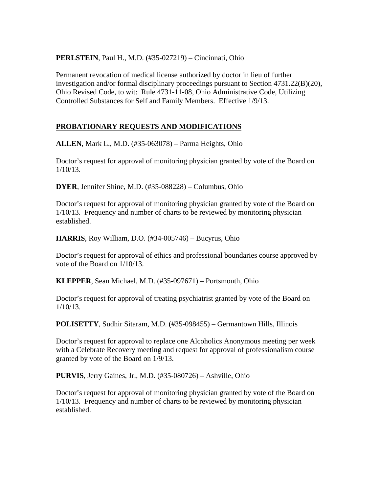**PERLSTEIN**, Paul H., M.D. (#35-027219) – Cincinnati, Ohio

Permanent revocation of medical license authorized by doctor in lieu of further investigation and/or formal disciplinary proceedings pursuant to Section 4731.22(B)(20), Ohio Revised Code, to wit: Rule 4731-11-08, Ohio Administrative Code, Utilizing Controlled Substances for Self and Family Members. Effective 1/9/13.

# **PROBATIONARY REQUESTS AND MODIFICATIONS**

**ALLEN**, Mark L., M.D. (#35-063078) – Parma Heights, Ohio

Doctor's request for approval of monitoring physician granted by vote of the Board on 1/10/13.

**DYER**, Jennifer Shine, M.D. (#35-088228) – Columbus, Ohio

Doctor's request for approval of monitoring physician granted by vote of the Board on 1/10/13. Frequency and number of charts to be reviewed by monitoring physician established.

**HARRIS**, Roy William, D.O. (#34-005746) – Bucyrus, Ohio

Doctor's request for approval of ethics and professional boundaries course approved by vote of the Board on 1/10/13.

**KLEPPER**, Sean Michael, M.D. (#35-097671) – Portsmouth, Ohio

Doctor's request for approval of treating psychiatrist granted by vote of the Board on 1/10/13.

**POLISETTY**, Sudhir Sitaram, M.D. (#35-098455) – Germantown Hills, Illinois

Doctor's request for approval to replace one Alcoholics Anonymous meeting per week with a Celebrate Recovery meeting and request for approval of professionalism course granted by vote of the Board on 1/9/13.

**PURVIS**, Jerry Gaines, Jr., M.D. (#35-080726) – Ashville, Ohio

Doctor's request for approval of monitoring physician granted by vote of the Board on 1/10/13. Frequency and number of charts to be reviewed by monitoring physician established.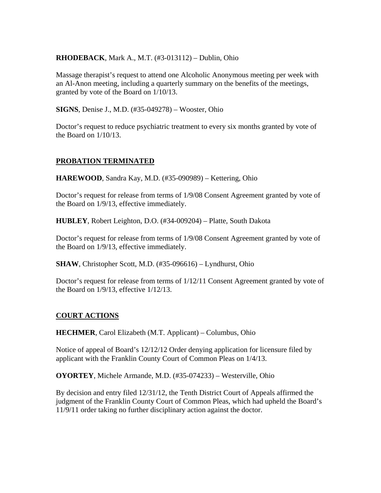### **RHODEBACK**, Mark A., M.T. (#3-013112) – Dublin, Ohio

Massage therapist's request to attend one Alcoholic Anonymous meeting per week with an Al-Anon meeting, including a quarterly summary on the benefits of the meetings, granted by vote of the Board on 1/10/13.

**SIGNS**, Denise J., M.D. (#35-049278) – Wooster, Ohio

Doctor's request to reduce psychiatric treatment to every six months granted by vote of the Board on 1/10/13.

# **PROBATION TERMINATED**

**HAREWOOD**, Sandra Kay, M.D. (#35-090989) – Kettering, Ohio

Doctor's request for release from terms of 1/9/08 Consent Agreement granted by vote of the Board on 1/9/13, effective immediately.

**HUBLEY**, Robert Leighton, D.O. (#34-009204) – Platte, South Dakota

Doctor's request for release from terms of 1/9/08 Consent Agreement granted by vote of the Board on 1/9/13, effective immediately.

**SHAW**, Christopher Scott, M.D. (#35-096616) – Lyndhurst, Ohio

Doctor's request for release from terms of 1/12/11 Consent Agreement granted by vote of the Board on 1/9/13, effective 1/12/13.

### **COURT ACTIONS**

**HECHMER**, Carol Elizabeth (M.T. Applicant) – Columbus, Ohio

Notice of appeal of Board's 12/12/12 Order denying application for licensure filed by applicant with the Franklin County Court of Common Pleas on 1/4/13.

**OYORTEY**, Michele Armande, M.D. (#35-074233) – Westerville, Ohio

By decision and entry filed 12/31/12, the Tenth District Court of Appeals affirmed the judgment of the Franklin County Court of Common Pleas, which had upheld the Board's 11/9/11 order taking no further disciplinary action against the doctor.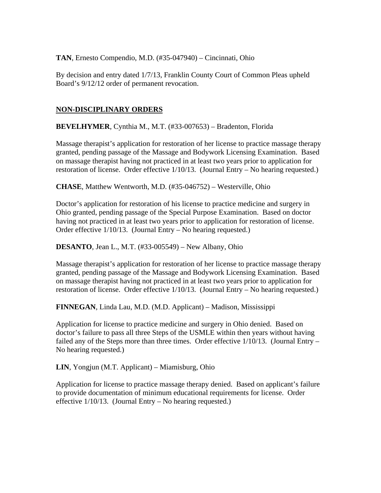**TAN**, Ernesto Compendio, M.D. (#35-047940) – Cincinnati, Ohio

By decision and entry dated 1/7/13, Franklin County Court of Common Pleas upheld Board's 9/12/12 order of permanent revocation.

# **NON-DISCIPLINARY ORDERS**

**BEVELHYMER**, Cynthia M., M.T. (#33-007653) – Bradenton, Florida

Massage therapist's application for restoration of her license to practice massage therapy granted, pending passage of the Massage and Bodywork Licensing Examination. Based on massage therapist having not practiced in at least two years prior to application for restoration of license. Order effective 1/10/13. (Journal Entry – No hearing requested.)

**CHASE**, Matthew Wentworth, M.D. (#35-046752) – Westerville, Ohio

Doctor's application for restoration of his license to practice medicine and surgery in Ohio granted, pending passage of the Special Purpose Examination. Based on doctor having not practiced in at least two years prior to application for restoration of license. Order effective 1/10/13. (Journal Entry – No hearing requested.)

#### **DESANTO**, Jean L., M.T. (#33-005549) – New Albany, Ohio

Massage therapist's application for restoration of her license to practice massage therapy granted, pending passage of the Massage and Bodywork Licensing Examination. Based on massage therapist having not practiced in at least two years prior to application for restoration of license. Order effective 1/10/13. (Journal Entry – No hearing requested.)

**FINNEGAN**, Linda Lau, M.D. (M.D. Applicant) – Madison, Mississippi

Application for license to practice medicine and surgery in Ohio denied. Based on doctor's failure to pass all three Steps of the USMLE within then years without having failed any of the Steps more than three times. Order effective  $1/10/13$ . (Journal Entry – No hearing requested.)

**LIN**, Yongjun (M.T. Applicant) – Miamisburg, Ohio

Application for license to practice massage therapy denied. Based on applicant's failure to provide documentation of minimum educational requirements for license. Order effective  $1/10/13$ . (Journal Entry – No hearing requested.)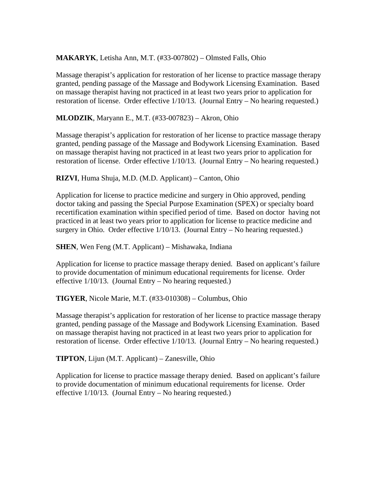#### **MAKARYK**, Letisha Ann, M.T. (#33-007802) – Olmsted Falls, Ohio

Massage therapist's application for restoration of her license to practice massage therapy granted, pending passage of the Massage and Bodywork Licensing Examination. Based on massage therapist having not practiced in at least two years prior to application for restoration of license. Order effective 1/10/13. (Journal Entry – No hearing requested.)

**MLODZIK**, Maryann E., M.T. (#33-007823) – Akron, Ohio

Massage therapist's application for restoration of her license to practice massage therapy granted, pending passage of the Massage and Bodywork Licensing Examination. Based on massage therapist having not practiced in at least two years prior to application for restoration of license. Order effective 1/10/13. (Journal Entry – No hearing requested.)

**RIZVI**, Huma Shuja, M.D. (M.D. Applicant) – Canton, Ohio

Application for license to practice medicine and surgery in Ohio approved, pending doctor taking and passing the Special Purpose Examination (SPEX) or specialty board recertification examination within specified period of time. Based on doctor having not practiced in at least two years prior to application for license to practice medicine and surgery in Ohio. Order effective 1/10/13. (Journal Entry – No hearing requested.)

**SHEN**, Wen Feng (M.T. Applicant) – Mishawaka, Indiana

Application for license to practice massage therapy denied. Based on applicant's failure to provide documentation of minimum educational requirements for license. Order effective 1/10/13. (Journal Entry – No hearing requested.)

**TIGYER**, Nicole Marie, M.T. (#33-010308) – Columbus, Ohio

Massage therapist's application for restoration of her license to practice massage therapy granted, pending passage of the Massage and Bodywork Licensing Examination. Based on massage therapist having not practiced in at least two years prior to application for restoration of license. Order effective 1/10/13. (Journal Entry – No hearing requested.)

**TIPTON**, Lijun (M.T. Applicant) – Zanesville, Ohio

Application for license to practice massage therapy denied. Based on applicant's failure to provide documentation of minimum educational requirements for license. Order effective 1/10/13. (Journal Entry – No hearing requested.)